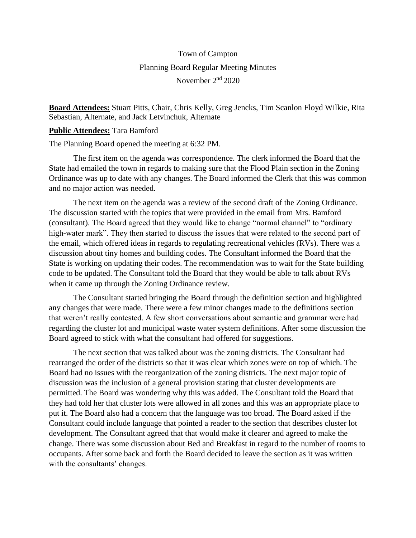## Town of Campton Planning Board Regular Meeting Minutes November 2<sup>nd</sup> 2020

**Board Attendees:** Stuart Pitts, Chair, Chris Kelly, Greg Jencks, Tim Scanlon Floyd Wilkie, Rita Sebastian, Alternate, and Jack Letvinchuk, Alternate

## **Public Attendees:** Tara Bamford

The Planning Board opened the meeting at 6:32 PM.

The first item on the agenda was correspondence. The clerk informed the Board that the State had emailed the town in regards to making sure that the Flood Plain section in the Zoning Ordinance was up to date with any changes. The Board informed the Clerk that this was common and no major action was needed.

The next item on the agenda was a review of the second draft of the Zoning Ordinance. The discussion started with the topics that were provided in the email from Mrs. Bamford (consultant). The Board agreed that they would like to change "normal channel" to "ordinary high-water mark". They then started to discuss the issues that were related to the second part of the email, which offered ideas in regards to regulating recreational vehicles (RVs). There was a discussion about tiny homes and building codes. The Consultant informed the Board that the State is working on updating their codes. The recommendation was to wait for the State building code to be updated. The Consultant told the Board that they would be able to talk about RVs when it came up through the Zoning Ordinance review.

The Consultant started bringing the Board through the definition section and highlighted any changes that were made. There were a few minor changes made to the definitions section that weren't really contested. A few short conversations about semantic and grammar were had regarding the cluster lot and municipal waste water system definitions. After some discussion the Board agreed to stick with what the consultant had offered for suggestions.

The next section that was talked about was the zoning districts. The Consultant had rearranged the order of the districts so that it was clear which zones were on top of which. The Board had no issues with the reorganization of the zoning districts. The next major topic of discussion was the inclusion of a general provision stating that cluster developments are permitted. The Board was wondering why this was added. The Consultant told the Board that they had told her that cluster lots were allowed in all zones and this was an appropriate place to put it. The Board also had a concern that the language was too broad. The Board asked if the Consultant could include language that pointed a reader to the section that describes cluster lot development. The Consultant agreed that that would make it clearer and agreed to make the change. There was some discussion about Bed and Breakfast in regard to the number of rooms to occupants. After some back and forth the Board decided to leave the section as it was written with the consultants' changes.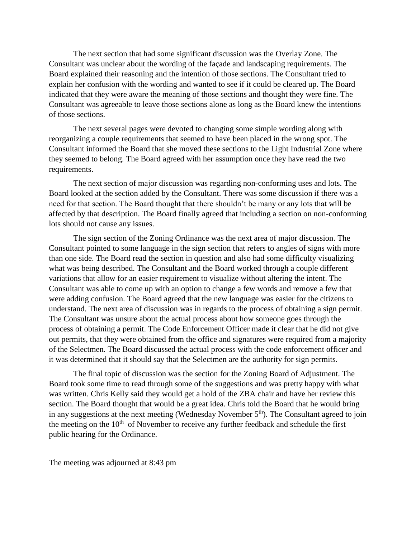The next section that had some significant discussion was the Overlay Zone. The Consultant was unclear about the wording of the façade and landscaping requirements. The Board explained their reasoning and the intention of those sections. The Consultant tried to explain her confusion with the wording and wanted to see if it could be cleared up. The Board indicated that they were aware the meaning of those sections and thought they were fine. The Consultant was agreeable to leave those sections alone as long as the Board knew the intentions of those sections.

The next several pages were devoted to changing some simple wording along with reorganizing a couple requirements that seemed to have been placed in the wrong spot. The Consultant informed the Board that she moved these sections to the Light Industrial Zone where they seemed to belong. The Board agreed with her assumption once they have read the two requirements.

The next section of major discussion was regarding non-conforming uses and lots. The Board looked at the section added by the Consultant. There was some discussion if there was a need for that section. The Board thought that there shouldn't be many or any lots that will be affected by that description. The Board finally agreed that including a section on non-conforming lots should not cause any issues.

The sign section of the Zoning Ordinance was the next area of major discussion. The Consultant pointed to some language in the sign section that refers to angles of signs with more than one side. The Board read the section in question and also had some difficulty visualizing what was being described. The Consultant and the Board worked through a couple different variations that allow for an easier requirement to visualize without altering the intent. The Consultant was able to come up with an option to change a few words and remove a few that were adding confusion. The Board agreed that the new language was easier for the citizens to understand. The next area of discussion was in regards to the process of obtaining a sign permit. The Consultant was unsure about the actual process about how someone goes through the process of obtaining a permit. The Code Enforcement Officer made it clear that he did not give out permits, that they were obtained from the office and signatures were required from a majority of the Selectmen. The Board discussed the actual process with the code enforcement officer and it was determined that it should say that the Selectmen are the authority for sign permits.

The final topic of discussion was the section for the Zoning Board of Adjustment. The Board took some time to read through some of the suggestions and was pretty happy with what was written. Chris Kelly said they would get a hold of the ZBA chair and have her review this section. The Board thought that would be a great idea. Chris told the Board that he would bring in any suggestions at the next meeting (Wednesday November  $5<sup>th</sup>$ ). The Consultant agreed to join the meeting on the  $10<sup>th</sup>$  of November to receive any further feedback and schedule the first public hearing for the Ordinance.

The meeting was adjourned at 8:43 pm